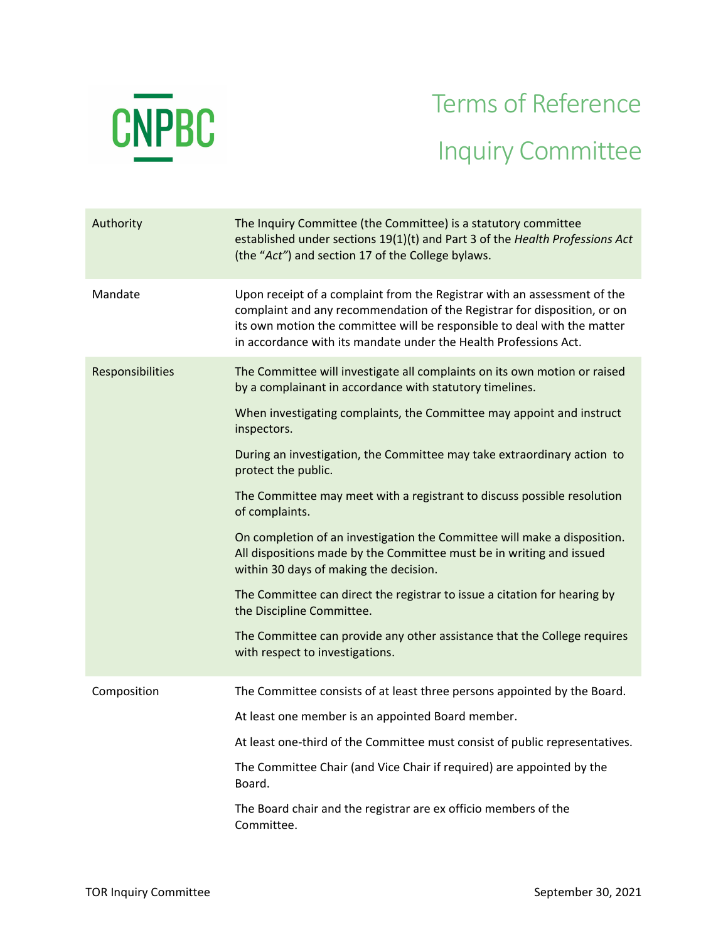

## Terms of Reference Inquiry Committee

| Authority        | The Inquiry Committee (the Committee) is a statutory committee<br>established under sections 19(1)(t) and Part 3 of the Health Professions Act<br>(the "Act") and section 17 of the College bylaws.                                                                                                  |
|------------------|------------------------------------------------------------------------------------------------------------------------------------------------------------------------------------------------------------------------------------------------------------------------------------------------------|
| Mandate          | Upon receipt of a complaint from the Registrar with an assessment of the<br>complaint and any recommendation of the Registrar for disposition, or on<br>its own motion the committee will be responsible to deal with the matter<br>in accordance with its mandate under the Health Professions Act. |
| Responsibilities | The Committee will investigate all complaints on its own motion or raised<br>by a complainant in accordance with statutory timelines.                                                                                                                                                                |
|                  | When investigating complaints, the Committee may appoint and instruct<br>inspectors.                                                                                                                                                                                                                 |
|                  | During an investigation, the Committee may take extraordinary action to<br>protect the public.                                                                                                                                                                                                       |
|                  | The Committee may meet with a registrant to discuss possible resolution<br>of complaints.                                                                                                                                                                                                            |
|                  | On completion of an investigation the Committee will make a disposition.<br>All dispositions made by the Committee must be in writing and issued<br>within 30 days of making the decision.                                                                                                           |
|                  | The Committee can direct the registrar to issue a citation for hearing by<br>the Discipline Committee.                                                                                                                                                                                               |
|                  | The Committee can provide any other assistance that the College requires<br>with respect to investigations.                                                                                                                                                                                          |
| Composition      | The Committee consists of at least three persons appointed by the Board.                                                                                                                                                                                                                             |
|                  | At least one member is an appointed Board member.                                                                                                                                                                                                                                                    |
|                  | At least one-third of the Committee must consist of public representatives.                                                                                                                                                                                                                          |
|                  | The Committee Chair (and Vice Chair if required) are appointed by the<br>Board.                                                                                                                                                                                                                      |
|                  | The Board chair and the registrar are ex officio members of the<br>Committee.                                                                                                                                                                                                                        |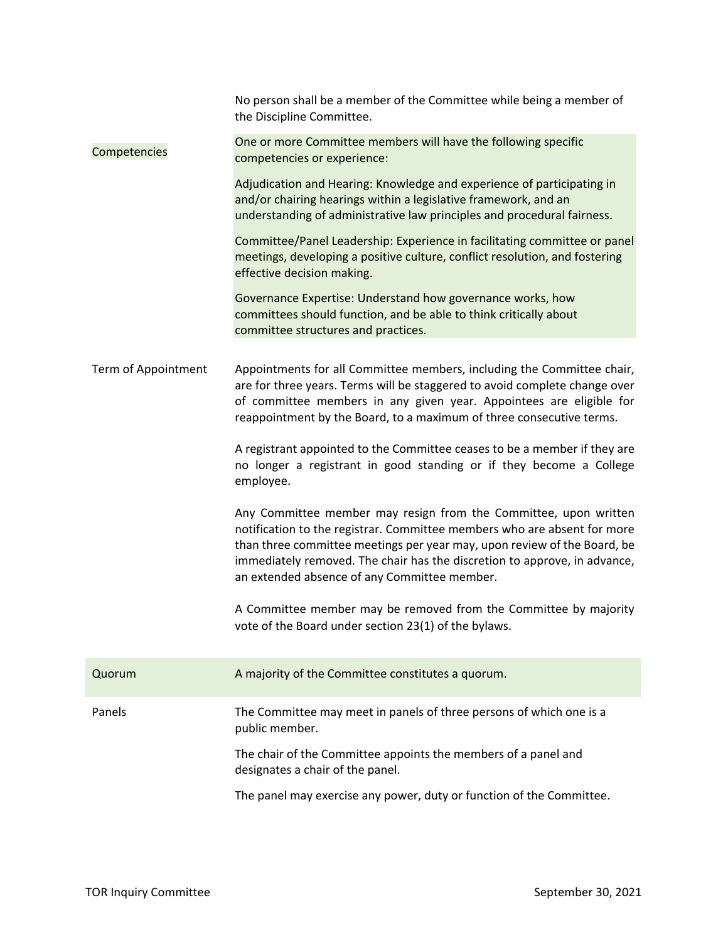|                     | No person shall be a member of the Committee while being a member of<br>the Discipline Committee.                                                                                                                                                                                                                                                     |
|---------------------|-------------------------------------------------------------------------------------------------------------------------------------------------------------------------------------------------------------------------------------------------------------------------------------------------------------------------------------------------------|
| Competencies        | One or more Committee members will have the following specific<br>competencies or experience:                                                                                                                                                                                                                                                         |
|                     | Adjudication and Hearing: Knowledge and experience of participating in<br>and/or chairing hearings within a legislative framework, and an<br>understanding of administrative law principles and procedural fairness.                                                                                                                                  |
|                     | Committee/Panel Leadership: Experience in facilitating committee or panel<br>meetings, developing a positive culture, conflict resolution, and fostering<br>effective decision making.                                                                                                                                                                |
|                     | Governance Expertise: Understand how governance works, how<br>committees should function, and be able to think critically about<br>committee structures and practices.                                                                                                                                                                                |
| Term of Appointment | Appointments for all Committee members, including the Committee chair,<br>are for three years. Terms will be staggered to avoid complete change over<br>of committee members in any given year. Appointees are eligible for<br>reappointment by the Board, to a maximum of three consecutive terms.                                                   |
|                     | A registrant appointed to the Committee ceases to be a member if they are<br>no longer a registrant in good standing or if they become a College<br>employee.                                                                                                                                                                                         |
|                     | Any Committee member may resign from the Committee, upon written<br>notification to the registrar. Committee members who are absent for more<br>than three committee meetings per year may, upon review of the Board, be<br>immediately removed. The chair has the discretion to approve, in advance,<br>an extended absence of any Committee member. |
|                     | A Committee member may be removed from the Committee by majority<br>vote of the Board under section 23(1) of the bylaws.                                                                                                                                                                                                                              |
| Quorum              | A majority of the Committee constitutes a quorum.                                                                                                                                                                                                                                                                                                     |
| Panels              | The Committee may meet in panels of three persons of which one is a<br>public member.                                                                                                                                                                                                                                                                 |
|                     | The chair of the Committee appoints the members of a panel and<br>designates a chair of the panel.                                                                                                                                                                                                                                                    |
|                     | The panel may exercise any power, duty or function of the Committee.                                                                                                                                                                                                                                                                                  |